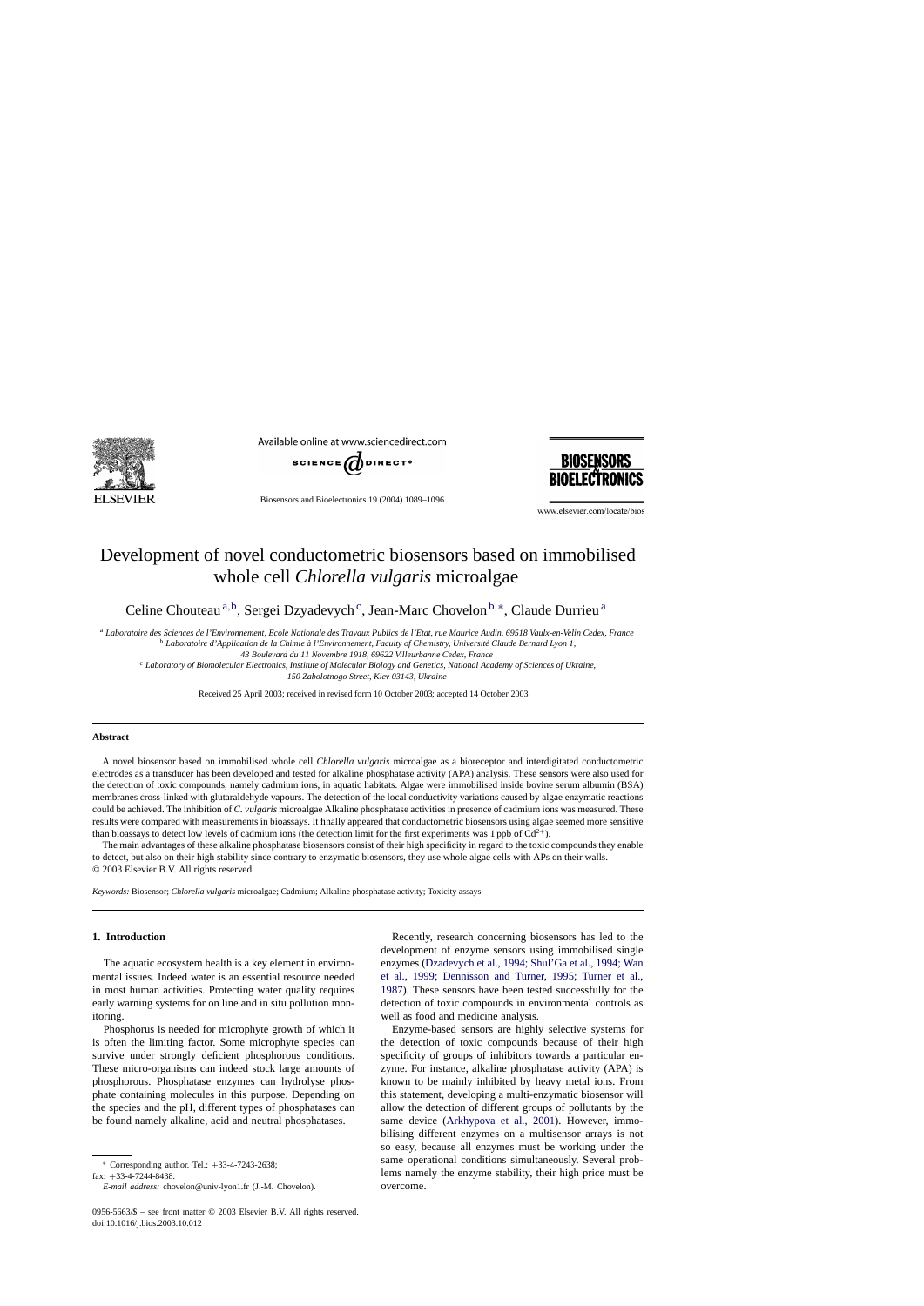

Available online at www.sciencedirect.com



Biosensors and Bioelectronics 19 (2004) 1089–1096

**BIOSENSORS** 

www.elsevier.com/locate/bios

# Development of novel conductometric biosensors based on immobilised whole cell *Chlorella vulgaris* microalgae

Celine Chouteau a,b, Sergei Dzyadevych<sup>c</sup>, Jean-Marc Chovelon<sup>b,∗</sup>, Claude Durrieu<sup>a</sup>

<sup>a</sup> *Laboratoire des Sciences de l'Environnement, Ecole Nationale des Travaux Publics de l'Etat, rue Maurice Audin, 69518 Vaulx-en-Velin Cedex, France* <sup>b</sup> *Laboratoire d'Application de la Chimie à l'Environnement, Faculty of Chemistry, Université Claude Bernard Lyon 1,*

*43 Boulevard du 11 Novembre 1918, 69622 Villeurbanne Cedex, France*

<sup>c</sup> *Laboratory of Biomolecular Electronics, Institute of Molecular Biology and Genetics, National Academy of Sciences of Ukraine, 150 Zabolotnogo Street, Kiev 03143, Ukraine*

Received 25 April 2003; received in revised form 10 October 2003; accepted 14 October 2003

## **Abstract**

A novel biosensor based on immobilised whole cell *Chlorella vulgaris* microalgae as a bioreceptor and interdigitated conductometric electrodes as a transducer has been developed and tested for alkaline phosphatase activity (APA) analysis. These sensors were also used for the detection of toxic compounds, namely cadmium ions, in aquatic habitats. Algae were immobilised inside bovine serum albumin (BSA) membranes cross-linked with glutaraldehyde vapours. The detection of the local conductivity variations caused by algae enzymatic reactions could be achieved. The inhibition of *C. vulgaris* microalgae Alkaline phosphatase activities in presence of cadmium ions was measured. These results were compared with measurements in bioassays. It finally appeared that conductometric biosensors using algae seemed more sensitive than bioassays to detect low levels of cadmium ions (the detection limit for the first experiments was 1 ppb of  $Cd^{2+}$ ).

The main advantages of these alkaline phosphatase biosensors consist of their high specificity in regard to the toxic compounds they enable to detect, but also on their high stability since contrary to enzymatic biosensors, they use whole algae cells with APs on their walls. © 2003 Elsevier B.V. All rights reserved.

*Keywords:* Biosensor; *Chlorella vulgaris* microalgae; Cadmium; Alkaline phosphatase activity; Toxicity assays

# **1. Introduction**

The aquatic ecosystem health is a key element in environmental issues. Indeed water is an essential resource needed in most human activities. Protecting water quality requires early warning systems for on line and in situ pollution monitoring.

Phosphorus is needed for microphyte growth of which it is often the limiting factor. Some microphyte species can survive under strongly deficient phosphorous conditions. These micro-organisms can indeed stock large amounts of phosphorous. Phosphatase enzymes can hydrolyse phosphate containing molecules in this purpose. Depending on the species and the pH, different types of phosphatases can be found namely alkaline, acid and neutral phosphatases.

fax: +33-4-7244-8438.

Recently, research concerning biosensors has led to the development of enzyme sensors using immobilised single enzymes ([Dzadevych et al., 1994; Shul'Ga et al., 1994; Wan](#page-6-0) [et al., 1999; Dennisson and Turner, 1995; Turner et al.,](#page-6-0) [1987\).](#page-6-0) These sensors have been tested successfully for the detection of toxic compounds in environmental controls as well as food and medicine analysis.

Enzyme-based sensors are highly selective systems for the detection of toxic compounds because of their high specificity of groups of inhibitors towards a particular enzyme. For instance, alkaline phosphatase activity (APA) is known to be mainly inhibited by heavy metal ions. From this statement, developing a multi-enzymatic biosensor will allow the detection of different groups of pollutants by the same device [\(Arkhypova et al., 2001](#page-6-0)). However, immobilising different enzymes on a multisensor arrays is not so easy, because all enzymes must be working under the same operational conditions simultaneously. Several problems namely the enzyme stability, their high price must be overcome.

<sup>∗</sup> Corresponding author. Tel.: +33-4-7243-2638;

*E-mail address:* chovelon@univ-lyon1.fr (J.-M. Chovelon).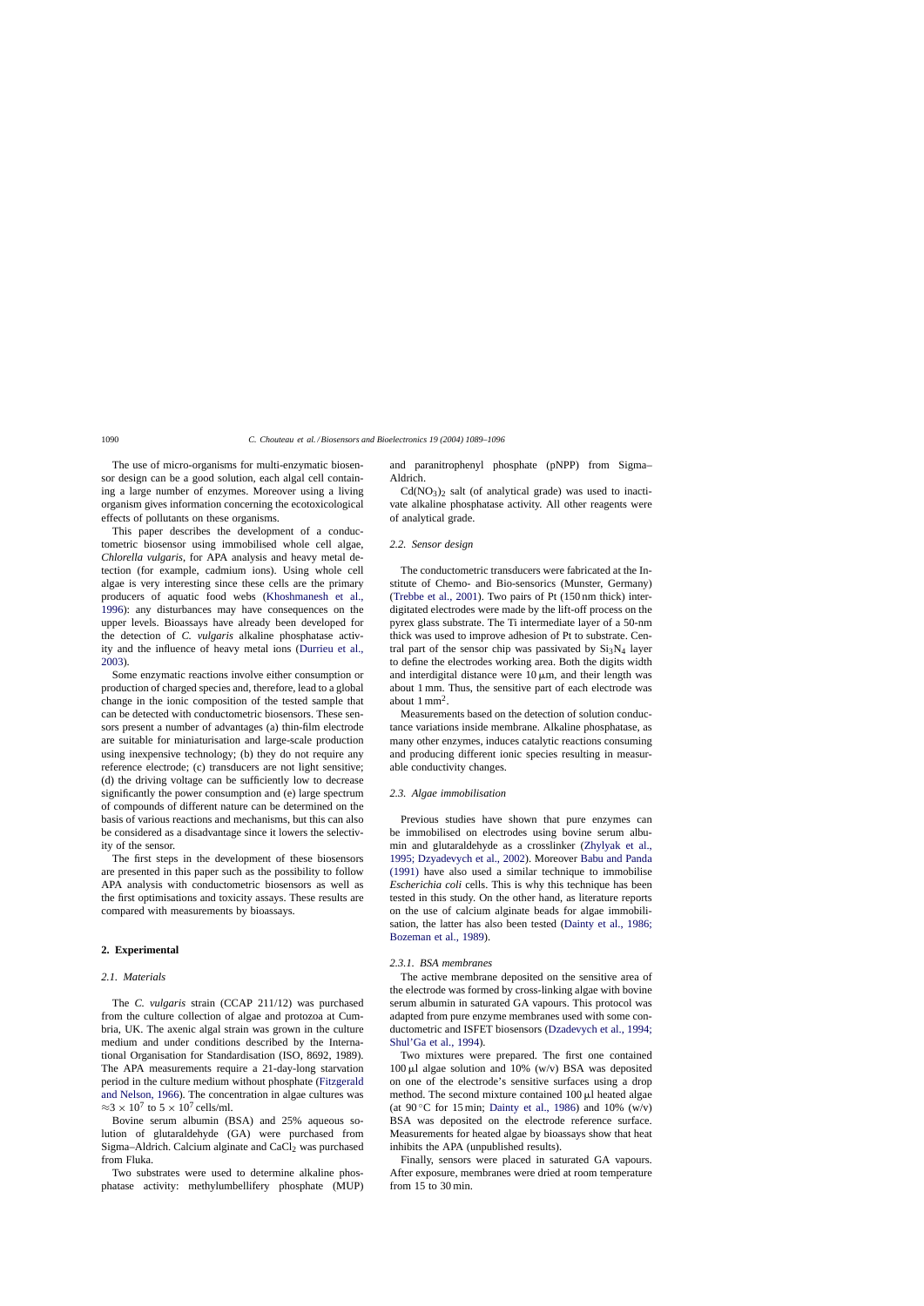The use of micro-organisms for multi-enzymatic biosensor design can be a good solution, each algal cell containing a large number of enzymes. Moreover using a living organism gives information concerning the ecotoxicological effects of pollutants on these organisms.

This paper describes the development of a conductometric biosensor using immobilised whole cell algae, *Chlorella vulgaris*, for APA analysis and heavy metal detection (for example, cadmium ions). Using whole cell algae is very interesting since these cells are the primary producers of aquatic food webs ([Khoshmanesh et al.,](#page-6-0) [1996\):](#page-6-0) any disturbances may have consequences on the upper levels. Bioassays have already been developed for the detection of *C. vulgaris* alkaline phosphatase activity and the influence of heavy metal ions ([Durrieu et al.,](#page-6-0) [2003\).](#page-6-0)

Some enzymatic reactions involve either consumption or production of charged species and, therefore, lead to a global change in the ionic composition of the tested sample that can be detected with conductometric biosensors. These sensors present a number of advantages (a) thin-film electrode are suitable for miniaturisation and large-scale production using inexpensive technology; (b) they do not require any reference electrode; (c) transducers are not light sensitive; (d) the driving voltage can be sufficiently low to decrease significantly the power consumption and (e) large spectrum of compounds of different nature can be determined on the basis of various reactions and mechanisms, but this can also be considered as a disadvantage since it lowers the selectivity of the sensor.

The first steps in the development of these biosensors are presented in this paper such as the possibility to follow APA analysis with conductometric biosensors as well as the first optimisations and toxicity assays. These results are compared with measurements by bioassays.

### **2. Experimental**

# *2.1. Materials*

The *C. vulgaris* strain (CCAP 211/12) was purchased from the culture collection of algae and protozoa at Cumbria, UK. The axenic algal strain was grown in the culture medium and under conditions described by the International Organisation for Standardisation (ISO, 8692, 1989). The APA measurements require a 21-day-long starvation period in the culture medium without phosphate [\(Fitzgerald](#page-6-0) [and Nelson, 1966\).](#page-6-0) The concentration in algae cultures was  $≈3 × 10<sup>7</sup>$  to 5 × 10<sup>7</sup> cells/ml.

Bovine serum albumin (BSA) and 25% aqueous solution of glutaraldehyde (GA) were purchased from Sigma–Aldrich. Calcium alginate and CaCl<sub>2</sub> was purchased from Fluka.

Two substrates were used to determine alkaline phosphatase activity: methylumbellifery phosphate (MUP) and paranitrophenyl phosphate (pNPP) from Sigma– Aldrich.

 $Cd(NO_3)$ <sub>2</sub> salt (of analytical grade) was used to inactivate alkaline phosphatase activity. All other reagents were of analytical grade.

# *2.2. Sensor design*

The conductometric transducers were fabricated at the Institute of Chemo- and Bio-sensorics (Munster, Germany) ([Trebbe et al., 2001\).](#page-7-0) Two pairs of Pt (150 nm thick) interdigitated electrodes were made by the lift-off process on the pyrex glass substrate. The Ti intermediate layer of a 50-nm thick was used to improve adhesion of Pt to substrate. Central part of the sensor chip was passivated by  $Si<sub>3</sub>N<sub>4</sub>$  layer to define the electrodes working area. Both the digits width and interdigital distance were  $10 \mu m$ , and their length was about 1 mm. Thus, the sensitive part of each electrode was about  $1 \text{ mm}^2$ .

Measurements based on the detection of solution conductance variations inside membrane. Alkaline phosphatase, as many other enzymes, induces catalytic reactions consuming and producing different ionic species resulting in measurable conductivity changes.

# *2.3. Algae immobilisation*

Previous studies have shown that pure enzymes can be immobilised on electrodes using bovine serum albumin and glutaraldehyde as a crosslinker ([Zhylyak et al.,](#page-7-0) [1995; Dzyadevych et al., 2002\).](#page-7-0) Moreover [Babu and Panda](#page-6-0) [\(1991\)](#page-6-0) have also used a similar technique to immobilise *Escherichia coli* cells. This is why this technique has been tested in this study. On the other hand, as literature reports on the use of calcium alginate beads for algae immobilisation, the latter has also been tested ([Dainty et al., 1986;](#page-6-0) [Bozeman et al., 1989\).](#page-6-0)

### *2.3.1. BSA membranes*

The active membrane deposited on the sensitive area of the electrode was formed by cross-linking algae with bovine serum albumin in saturated GA vapours. This protocol was adapted from pure enzyme membranes used with some conductometric and ISFET biosensors ([Dzadevych et al., 1994;](#page-6-0) [Shul'Ga et al., 1994\).](#page-6-0)

Two mixtures were prepared. The first one contained 100  $\mu$ l algae solution and 10% (w/v) BSA was deposited on one of the electrode's sensitive surfaces using a drop method. The second mixture contained  $100 \mu l$  heated algae (at 90 $\degree$ C for 15 min; [Dainty et al., 1986\)](#page-6-0) and 10% (w/v) BSA was deposited on the electrode reference surface. Measurements for heated algae by bioassays show that heat inhibits the APA (unpublished results).

Finally, sensors were placed in saturated GA vapours. After exposure, membranes were dried at room temperature from 15 to 30 min.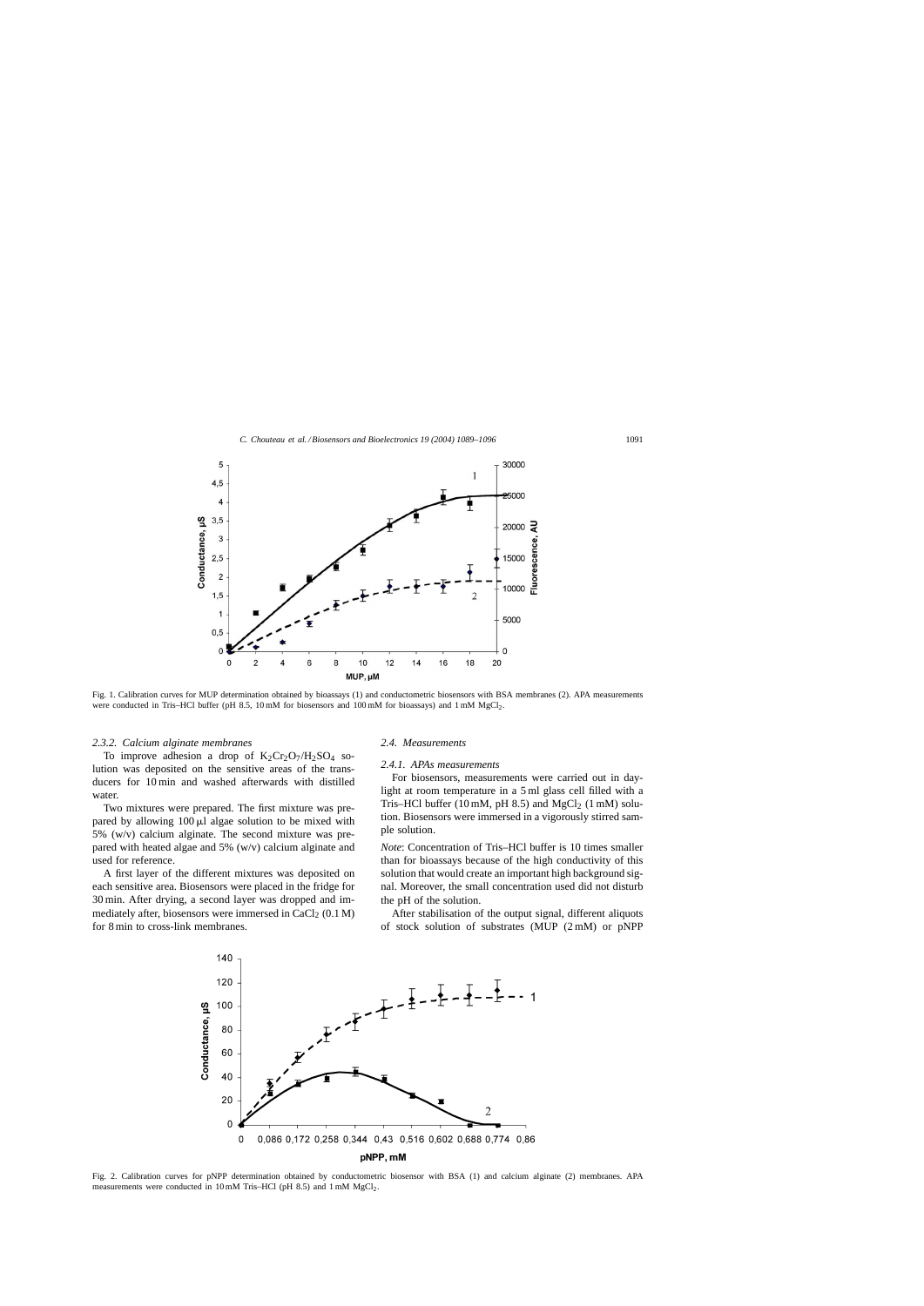<span id="page-2-0"></span>

Fig. 1. Calibration curves for MUP determination obtained by bioassays (1) and conductometric biosensors with BSA membranes (2). APA measurements were conducted in Tris–HCl buffer (pH 8.5, 10 mM for biosensors and 100 mM for bioassays) and 1 mM MgCl<sub>2</sub>.

#### *2.3.2. Calcium alginate membranes*

To improve adhesion a drop of  $K_2Cr_2O_7/H_2SO_4$  solution was deposited on the sensitive areas of the transducers for 10 min and washed afterwards with distilled water.

Two mixtures were prepared. The first mixture was prepared by allowing  $100 \mu l$  algae solution to be mixed with 5% (w/v) calcium alginate. The second mixture was prepared with heated algae and 5% (w/v) calcium alginate and used for reference.

A first layer of the different mixtures was deposited on each sensitive area. Biosensors were placed in the fridge for 30 min. After drying, a second layer was dropped and immediately after, biosensors were immersed in CaCl $_2$  (0.1 M) for 8 min to cross-link membranes.

## *2.4. Measurements*

# *2.4.1. APAs measurements*

For biosensors, measurements were carried out in daylight at room temperature in a 5 ml glass cell filled with a Tris–HCl buffer (10 mM, pH 8.5) and  $MgCl<sub>2</sub>$  (1 mM) solution. Biosensors were immersed in a vigorously stirred sample solution.

*Note*: Concentration of Tris–HCl buffer is 10 times smaller than for bioassays because of the high conductivity of this solution that would create an important high background signal. Moreover, the small concentration used did not disturb the pH of the solution.

After stabilisation of the output signal, different aliquots of stock solution of substrates (MUP (2 mM) or pNPP



Fig. 2. Calibration curves for pNPP determination obtained by conductometric biosensor with BSA (1) and calcium alginate (2) membranes. APA measurements were conducted in 10 mM Tris-HCl (pH 8.5) and 1 mM MgCl<sub>2</sub>.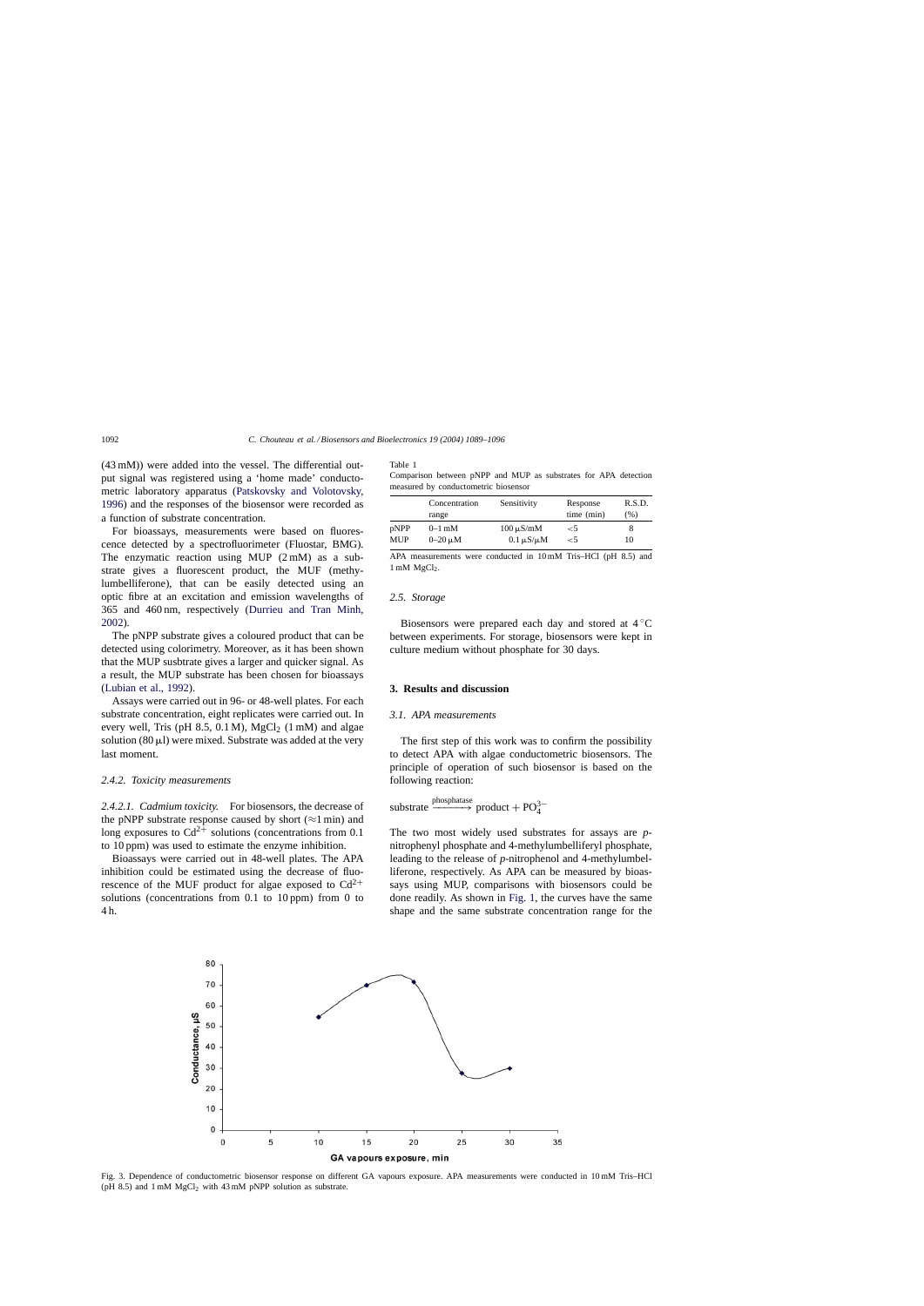<span id="page-3-0"></span>(43 mM)) were added into the vessel. The differential output signal was registered using a 'home made' conductometric laboratory apparatus [\(Patskovsky and Volotovsky,](#page-7-0) [1996\)](#page-7-0) and the responses of the biosensor were recorded as a function of substrate concentration.

For bioassays, measurements were based on fluorescence detected by a spectrofluorimeter (Fluostar, BMG). The enzymatic reaction using MUP (2 mM) as a substrate gives a fluorescent product, the MUF (methylumbelliferone), that can be easily detected using an optic fibre at an excitation and emission wavelengths of 365 and 460 nm, respectively ([Durrieu and Tran Minh](#page-6-0), [2002\).](#page-6-0)

The pNPP substrate gives a coloured product that can be detected using colorimetry. Moreover, as it has been shown that the MUP susbtrate gives a larger and quicker signal. As a result, the MUP substrate has been chosen for bioassays ([Lubian et al., 1992\).](#page-6-0)

Assays were carried out in 96- or 48-well plates. For each substrate concentration, eight replicates were carried out. In every well, Tris (pH 8.5,  $0.1$  M), MgCl<sub>2</sub> (1 mM) and algae solution  $(80 \mu l)$  were mixed. Substrate was added at the very last moment.

#### *2.4.2. Toxicity measurements*

*2.4.2.1. Cadmium toxicity.* For biosensors, the decrease of the pNPP substrate response caused by short ( $\approx$ 1 min) and long exposures to  $Cd^{2+}$  solutions (concentrations from 0.1) to 10 ppm) was used to estimate the enzyme inhibition.

Bioassays were carried out in 48-well plates. The APA inhibition could be estimated using the decrease of fluorescence of the MUF product for algae exposed to  $Cd^{2+}$ solutions (concentrations from 0.1 to 10 ppm) from 0 to 4 h.

Table 1

Comparison between pNPP and MUP as substrates for APA detection measured by conductometric biosensor

|            | Concentration<br>range | Sensitivity       | Response<br>time (min) | R.S.D.<br>(%) |
|------------|------------------------|-------------------|------------------------|---------------|
| pNPP       | $0-1$ mM               | $100 \mu S/mM$    | $<$ 5                  | 10            |
| <b>MUP</b> | $0-20 \mu M$           | $0.1 \mu S/\mu M$ | $\leq 5$               |               |

APA measurements were conducted in 10 mM Tris–HCl (pH 8.5) and  $1 \text{ mM } MgCl<sub>2</sub>$ .

## *2.5. Storage*

Biosensors were prepared each day and stored at  $4^\circ$ C between experiments. For storage, biosensors were kept in culture medium without phosphate for 30 days.

#### **3. Results and discussion**

# *3.1. APA measurements*

The first step of this work was to confirm the possibility to detect APA with algae conductometric biosensors. The principle of operation of such biosensor is based on the following reaction:

# $\text{substrate} \xrightarrow{\text{phosphatase}} \text{product} + \text{PO}_4^{3-}$

The two most widely used substrates for assays are *p*nitrophenyl phosphate and 4-methylumbelliferyl phosphate, leading to the release of *p*-nitrophenol and 4-methylumbelliferone, respectively. As APA can be measured by bioassays using MUP, comparisons with biosensors could be done readily. As shown in [Fig. 1,](#page-2-0) the curves have the same shape and the same substrate concentration range for the



Fig. 3. Dependence of conductometric biosensor response on different GA vapours exposure. APA measurements were conducted in 10 mM Tris–HCl (pH 8.5) and 1 mM  $MgCl<sub>2</sub>$  with 43 mM pNPP solution as substrate.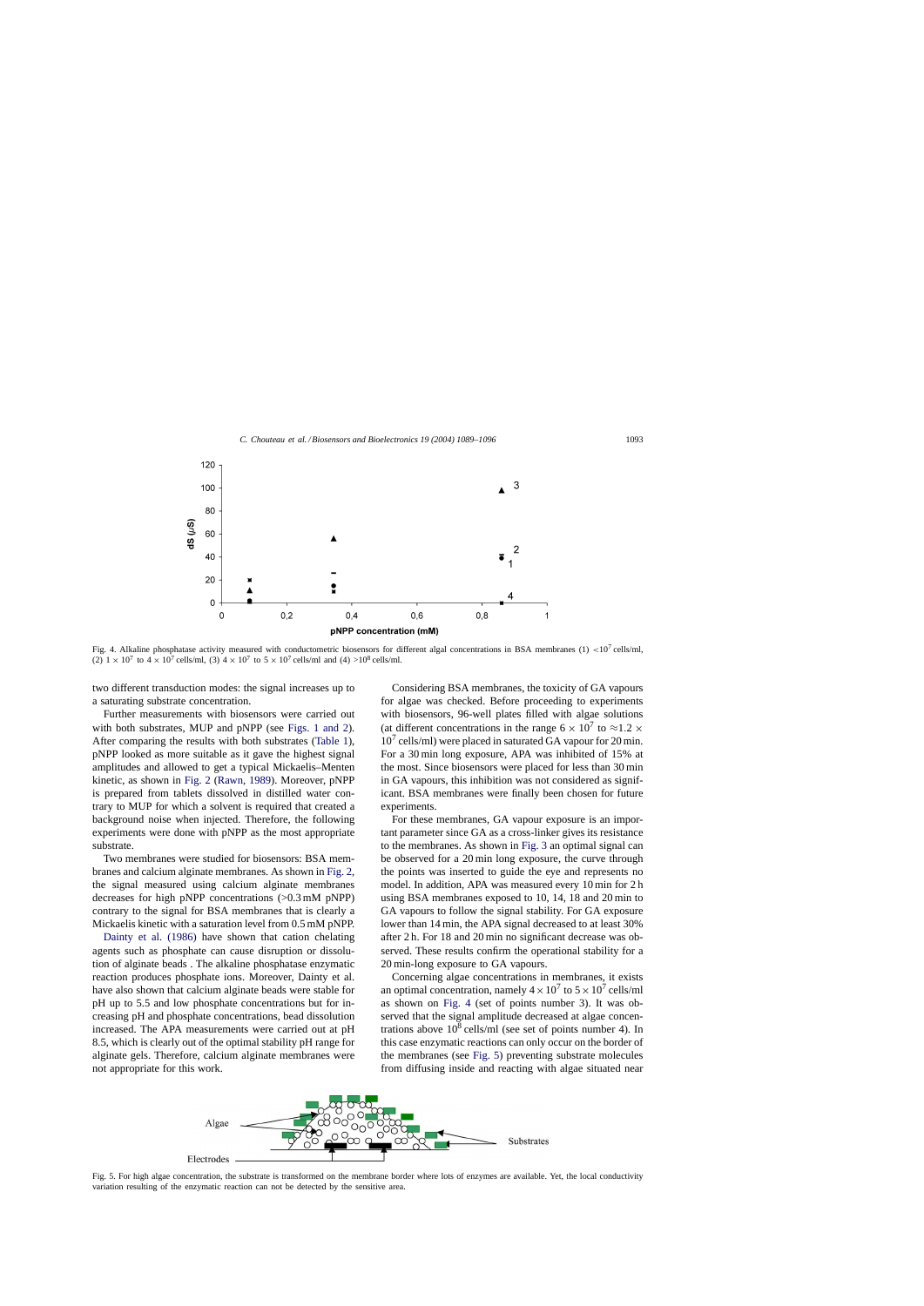

Fig. 4. Alkaline phosphatase activity measured with conductometric biosensors for different algal concentrations in BSA membranes (1) <10<sup>7</sup> cells/ml, (2)  $1 \times 10^7$  to  $4 \times 10^7$  cells/ml, (3)  $4 \times 10^7$  to  $5 \times 10^7$  cells/ml and (4) >10<sup>8</sup> cells/ml.

two different transduction modes: the signal increases up to a saturating substrate concentration.

Further measurements with biosensors were carried out with both substrates, MUP and pNPP (see [Figs. 1 and 2\).](#page-2-0) After comparing the results with both substrates [\(Table 1\),](#page-3-0) pNPP looked as more suitable as it gave the highest signal amplitudes and allowed to get a typical Mickaelis–Menten kinetic, as shown in [Fig. 2](#page-2-0) [\(Rawn, 1989\).](#page-7-0) Moreover, pNPP is prepared from tablets dissolved in distilled water contrary to MUP for which a solvent is required that created a background noise when injected. Therefore, the following experiments were done with pNPP as the most appropriate substrate.

Two membranes were studied for biosensors: BSA membranes and calcium alginate membranes. As shown in [Fig. 2,](#page-2-0) the signal measured using calcium alginate membranes decreases for high pNPP concentrations (>0.3 mM pNPP) contrary to the signal for BSA membranes that is clearly a Mickaelis kinetic with a saturation level from 0.5 mM pNPP.

[Dainty et al. \(1986\)](#page-6-0) have shown that cation chelating agents such as phosphate can cause disruption or dissolution of alginate beads . The alkaline phosphatase enzymatic reaction produces phosphate ions. Moreover, Dainty et al. have also shown that calcium alginate beads were stable for pH up to 5.5 and low phosphate concentrations but for increasing pH and phosphate concentrations, bead dissolution increased. The APA measurements were carried out at pH 8.5, which is clearly out of the optimal stability pH range for alginate gels. Therefore, calcium alginate membranes were not appropriate for this work.

Considering BSA membranes, the toxicity of GA vapours for algae was checked. Before proceeding to experiments with biosensors, 96-well plates filled with algae solutions (at different concentrations in the range  $6 \times 10^7$  to  $\approx 1.2 \times$  $10<sup>7</sup>$  cells/ml) were placed in saturated GA vapour for 20 min. For a 30 min long exposure, APA was inhibited of 15% at the most. Since biosensors were placed for less than 30 min in GA vapours, this inhibition was not considered as significant. BSA membranes were finally been chosen for future experiments.

For these membranes, GA vapour exposure is an important parameter since GA as a cross-linker gives its resistance to the membranes. As shown in [Fig. 3](#page-3-0) an optimal signal can be observed for a 20 min long exposure, the curve through the points was inserted to guide the eye and represents no model. In addition, APA was measured every 10 min for 2 h using BSA membranes exposed to 10, 14, 18 and 20 min to GA vapours to follow the signal stability. For GA exposure lower than 14 min, the APA signal decreased to at least 30% after 2 h. For 18 and 20 min no significant decrease was observed. These results confirm the operational stability for a 20 min-long exposure to GA vapours.

Concerning algae concentrations in membranes, it exists an optimal concentration, namely  $4 \times 10^7$  to  $5 \times 10^7$  cells/ml as shown on Fig. 4 (set of points number 3). It was observed that the signal amplitude decreased at algae concentrations above  $10^8$  cells/ml (see set of points number 4). In this case enzymatic reactions can only occur on the border of the membranes (see Fig. 5) preventing substrate molecules from diffusing inside and reacting with algae situated near



Fig. 5. For high algae concentration, the substrate is transformed on the membrane border where lots of enzymes are available. Yet, the local conductivity variation resulting of the enzymatic reaction can not be detected by the sensitive area.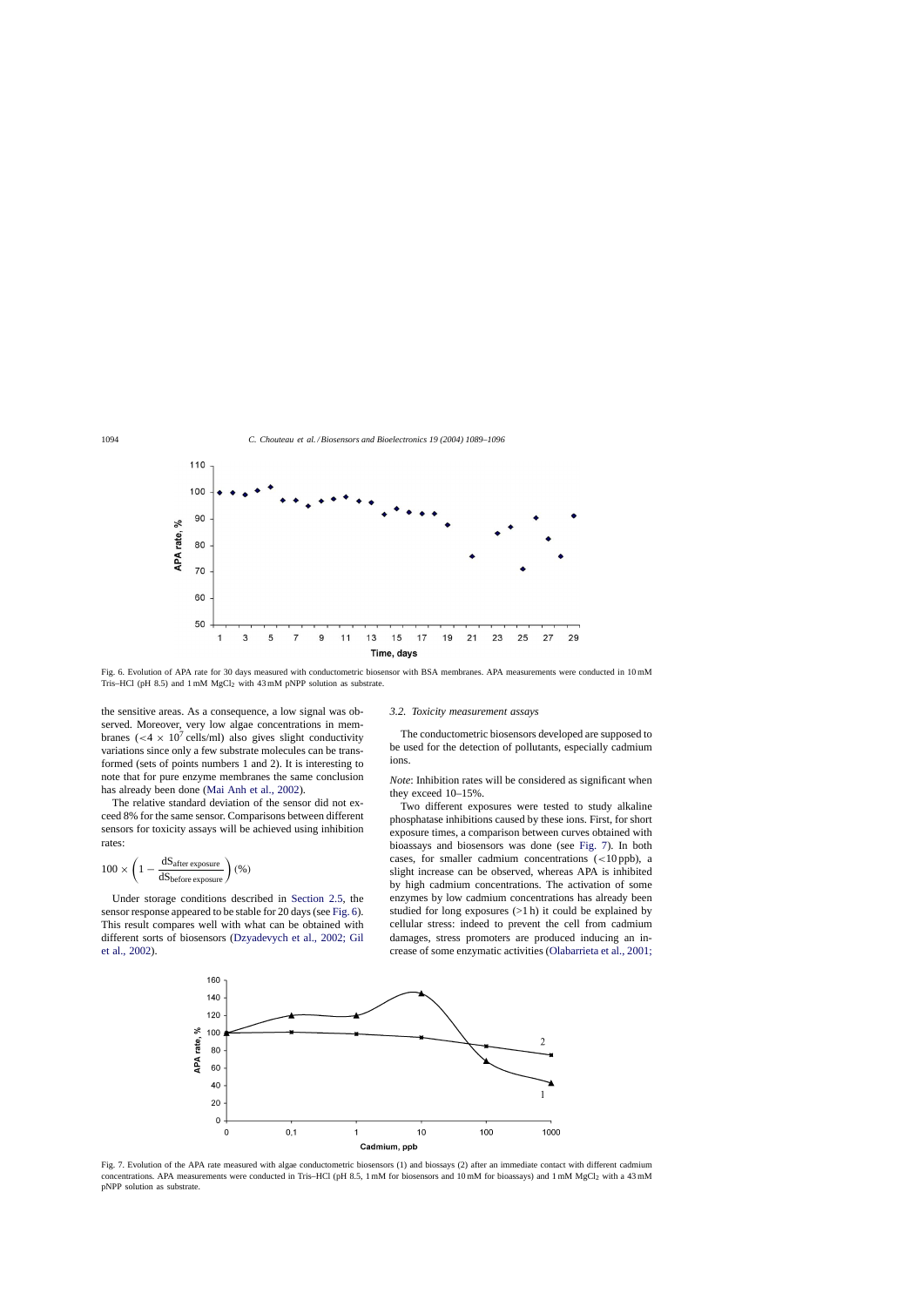

Fig. 6. Evolution of APA rate for 30 days measured with conductometric biosensor with BSA membranes. APA measurements were conducted in 10 mM Tris–HCl (pH 8.5) and 1 mM MgCl<sub>2</sub> with 43 mM pNPP solution as substrate.

the sensitive areas. As a consequence, a low signal was observed. Moreover, very low algae concentrations in membranes ( $<$ 4  $\times$  10<sup>7</sup> cells/ml) also gives slight conductivity variations since only a few substrate molecules can be transformed (sets of points numbers 1 and 2). It is interesting to note that for pure enzyme membranes the same conclusion has already been done ([Mai Anh et al., 2002\).](#page-6-0)

The relative standard deviation of the sensor did not exceed 8% for the same sensor. Comparisons between different sensors for toxicity assays will be achieved using inhibition rates:

$$
100 \times \left(1 - \frac{dS_{after\ exposure}}{dS_{before\ exposure}}\right) (\%)
$$

Under storage conditions described in [Section 2.5,](#page-3-0) the sensor response appeared to be stable for 20 days (see Fig. 6). This result compares well with what can be obtained with different sorts of biosensors [\(Dzyadevych et al., 2002; Gil](#page-6-0) [et al., 2002\).](#page-6-0)

# *3.2. Toxicity measurement assays*

The conductometric biosensors developed are supposed to be used for the detection of pollutants, especially cadmium ions.

*Note*: Inhibition rates will be considered as significant when they exceed 10–15%.

Two different exposures were tested to study alkaline phosphatase inhibitions caused by these ions. First, for short exposure times, a comparison between curves obtained with bioassays and biosensors was done (see Fig. 7). In both cases, for smaller cadmium concentrations  $(<10 \text{ pb}$ ), a slight increase can be observed, whereas APA is inhibited by high cadmium concentrations. The activation of some enzymes by low cadmium concentrations has already been studied for long exposures  $(>1 h)$  it could be explained by cellular stress: indeed to prevent the cell from cadmium damages, stress promoters are produced inducing an increase of some enzymatic activities ([Olabarrieta et al., 2001;](#page-7-0)



Fig. 7. Evolution of the APA rate measured with algae conductometric biosensors (1) and biossays (2) after an immediate contact with different cadmium concentrations. APA measurements were conducted in Tris–HCl (pH 8.5, 1 mM for biosensors and 10 mM for bioassays) and 1 mM MgCl<sub>2</sub> with a 43 mM pNPP solution as substrate.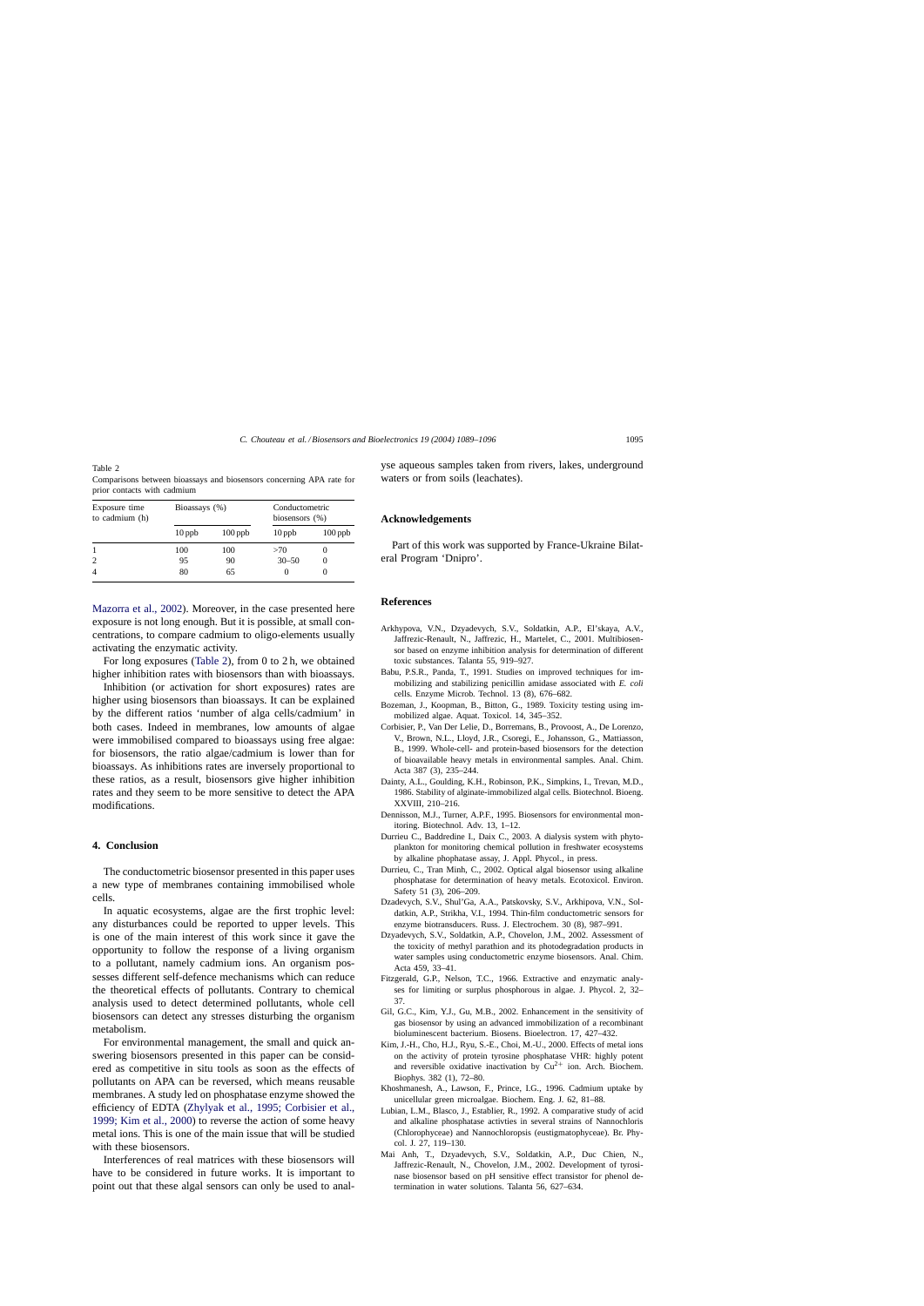<span id="page-6-0"></span>Table 2 Comparisons between bioassays and biosensors concerning APA rate for prior contacts with cadmium

| Exposure time<br>to cadmium (h) | Bioassays (%) |           | Conductometric<br>biosensors $(\%)$ |           |
|---------------------------------|---------------|-----------|-------------------------------------|-----------|
|                                 | $10$ ppb      | $100$ ppb | $10$ ppb                            | $100$ ppb |
|                                 | 100           | 100       | >70                                 |           |
| $\overline{c}$                  | 95            | 90        | $30 - 50$                           |           |
| 4                               | 80            | 65        | $\mathbf{0}$                        |           |

[Mazorra et al., 2002\).](#page-7-0) Moreover, in the case presented here exposure is not long enough. But it is possible, at small concentrations, to compare cadmium to oligo-elements usually activating the enzymatic activity.

For long exposures (Table 2), from 0 to 2 h, we obtained higher inhibition rates with biosensors than with bioassays.

Inhibition (or activation for short exposures) rates are higher using biosensors than bioassays. It can be explained by the different ratios 'number of alga cells/cadmium' in both cases. Indeed in membranes, low amounts of algae were immobilised compared to bioassays using free algae: for biosensors, the ratio algae/cadmium is lower than for bioassays. As inhibitions rates are inversely proportional to these ratios, as a result, biosensors give higher inhibition rates and they seem to be more sensitive to detect the APA modifications.

## **4. Conclusion**

The conductometric biosensor presented in this paper uses a new type of membranes containing immobilised whole cells.

In aquatic ecosystems, algae are the first trophic level: any disturbances could be reported to upper levels. This is one of the main interest of this work since it gave the opportunity to follow the response of a living organism to a pollutant, namely cadmium ions. An organism possesses different self-defence mechanisms which can reduce the theoretical effects of pollutants. Contrary to chemical analysis used to detect determined pollutants, whole cell biosensors can detect any stresses disturbing the organism metabolism.

For environmental management, the small and quick answering biosensors presented in this paper can be considered as competitive in situ tools as soon as the effects of pollutants on APA can be reversed, which means reusable membranes. A study led on phosphatase enzyme showed the efficiency of EDTA ([Zhylyak et al., 1995; Corbisier et al.,](#page-7-0) [1999; Kim et al., 2000\)](#page-7-0) to reverse the action of some heavy metal ions. This is one of the main issue that will be studied with these biosensors.

Interferences of real matrices with these biosensors will have to be considered in future works. It is important to point out that these algal sensors can only be used to analyse aqueous samples taken from rivers, lakes, underground waters or from soils (leachates).

# **Acknowledgements**

Part of this work was supported by France-Ukraine Bilateral Program 'Dnipro'.

## **References**

- Arkhypova, V.N., Dzyadevych, S.V., Soldatkin, A.P., El'skaya, A.V., Jaffrezic-Renault, N., Jaffrezic, H., Martelet, C., 2001. Multibiosensor based on enzyme inhibition analysis for determination of different toxic substances. Talanta 55, 919–927.
- Babu, P.S.R., Panda, T., 1991. Studies on improved techniques for immobilizing and stabilizing penicillin amidase associated with *E. coli* cells. Enzyme Microb. Technol. 13 (8), 676–682.
- Bozeman, J., Koopman, B., Bitton, G., 1989. Toxicity testing using immobilized algae. Aquat. Toxicol. 14, 345–352.
- Corbisier, P., Van Der Lelie, D., Borremans, B., Provoost, A., De Lorenzo, V., Brown, N.L., Lloyd, J.R., Csoregi, E., Johansson, G., Mattiasson, B., 1999. Whole-cell- and protein-based biosensors for the detection of bioavailable heavy metals in environmental samples. Anal. Chim. Acta 387 (3), 235–244.
- Dainty, A.L., Goulding, K.H., Robinson, P.K., Simpkins, I., Trevan, M.D., 1986. Stability of alginate-immobilized algal cells. Biotechnol. Bioeng. XXVIII, 210–216.
- Dennisson, M.J., Turner, A.P.F., 1995. Biosensors for environmental monitoring. Biotechnol. Adv. 13, 1–12.
- Durrieu C., Baddredine I., Daix C., 2003. A dialysis system with phytoplankton for monitoring chemical pollution in freshwater ecosystems by alkaline phophatase assay, J. Appl. Phycol., in press.
- Durrieu, C., Tran Minh, C., 2002. Optical algal biosensor using alkaline phosphatase for determination of heavy metals. Ecotoxicol. Environ. Safety 51 (3), 206–209.
- Dzadevych, S.V., Shul'Ga, A.A., Patskovsky, S.V., Arkhipova, V.N., Soldatkin, A.P., Strikha, V.I., 1994. Thin-film conductometric sensors for enzyme biotransducers. Russ. J. Electrochem. 30 (8), 987–991.
- Dzyadevych, S.V., Soldatkin, A.P., Chovelon, J.M., 2002. Assessment of the toxicity of methyl parathion and its photodegradation products in water samples using conductometric enzyme biosensors. Anal. Chim. Acta 459, 33–41.
- Fitzgerald, G.P., Nelson, T.C., 1966. Extractive and enzymatic analyses for limiting or surplus phosphorous in algae. J. Phycol. 2, 32– 37.
- Gil, G.C., Kim, Y.J., Gu, M.B., 2002. Enhancement in the sensitivity of gas biosensor by using an advanced immobilization of a recombinant bioluminescent bacterium. Biosens. Bioelectron. 17, 427–432.
- Kim, J.-H., Cho, H.J., Ryu, S.-E., Choi, M.-U., 2000. Effects of metal ions on the activity of protein tyrosine phosphatase VHR: highly potent and reversible oxidative inactivation by  $Cu^{2+}$  ion. Arch. Biochem. Biophys. 382 (1), 72–80.
- Khoshmanesh, A., Lawson, F., Prince, I.G., 1996. Cadmium uptake by unicellular green microalgae. Biochem. Eng. J. 62, 81–88.
- Lubian, L.M., Blasco, J., Establier, R., 1992. A comparative study of acid and alkaline phosphatase activties in several strains of Nannochloris (Chlorophyceae) and Nannochloropsis (eustigmatophyceae). Br. Phycol. J. 27, 119–130.
- Mai Anh, T., Dzyadevych, S.V., Soldatkin, A.P., Duc Chien, N., Jaffrezic-Renault, N., Chovelon, J.M., 2002. Development of tyrosinase biosensor based on pH sensitive effect transistor for phenol determination in water solutions. Talanta 56, 627–634.